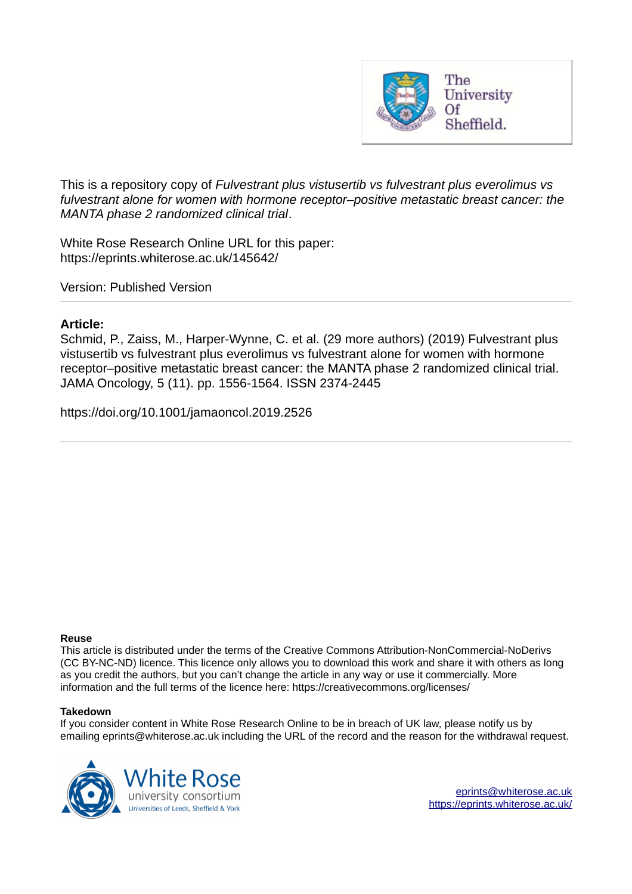

This is a repository copy of *Fulvestrant plus vistusertib vs fulvestrant plus everolimus vs fulvestrant alone for women with hormone receptor–positive metastatic breast cancer: the MANTA phase 2 randomized clinical trial*.

White Rose Research Online URL for this paper: https://eprints.whiterose.ac.uk/145642/

Version: Published Version

# **Article:**

Schmid, P., Zaiss, M., Harper-Wynne, C. et al. (29 more authors) (2019) Fulvestrant plus vistusertib vs fulvestrant plus everolimus vs fulvestrant alone for women with hormone receptor–positive metastatic breast cancer: the MANTA phase 2 randomized clinical trial. JAMA Oncology, 5 (11). pp. 1556-1564. ISSN 2374-2445

https://doi.org/10.1001/jamaoncol.2019.2526

# **Reuse**

This article is distributed under the terms of the Creative Commons Attribution-NonCommercial-NoDerivs (CC BY-NC-ND) licence. This licence only allows you to download this work and share it with others as long as you credit the authors, but you can't change the article in any way or use it commercially. More information and the full terms of the licence here: https://creativecommons.org/licenses/

# **Takedown**

If you consider content in White Rose Research Online to be in breach of UK law, please notify us by emailing eprints@whiterose.ac.uk including the URL of the record and the reason for the withdrawal request.

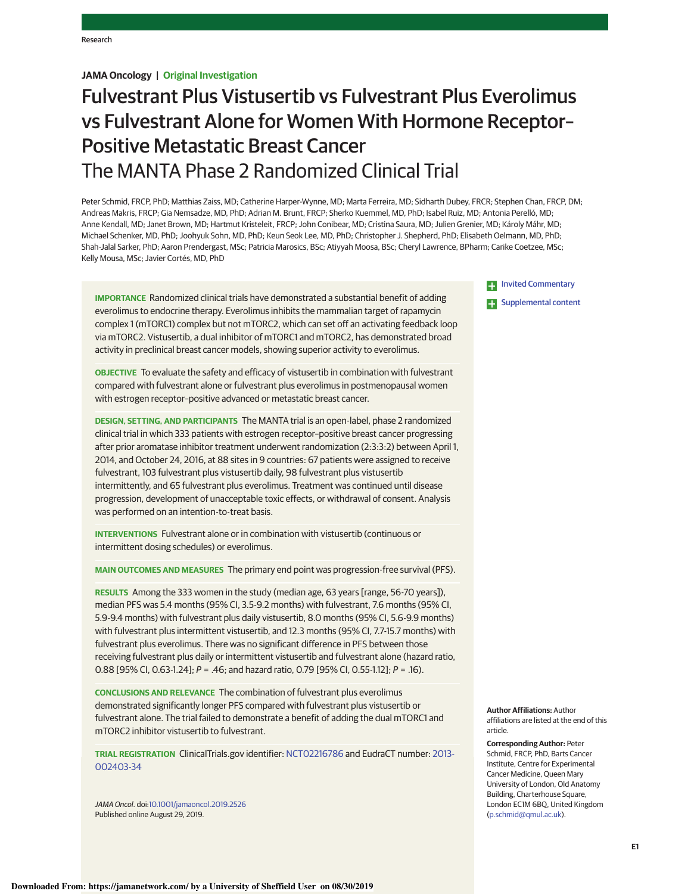# **JAMA Oncology | Original Investigation**

# Fulvestrant Plus Vistusertib vs Fulvestrant Plus Everolimus vs Fulvestrant Alone for Women With Hormone Receptor– Positive Metastatic Breast Cancer The MANTA Phase 2 Randomized Clinical Trial

Peter Schmid, FRCP, PhD; Matthias Zaiss, MD; Catherine Harper-Wynne, MD; Marta Ferreira, MD; Sidharth Dubey, FRCR; Stephen Chan, FRCP, DM; Andreas Makris, FRCP; Gia Nemsadze, MD, PhD; Adrian M. Brunt, FRCP; Sherko Kuemmel, MD, PhD; Isabel Ruiz, MD; Antonia Perelló, MD; Anne Kendall, MD; Janet Brown, MD; Hartmut Kristeleit, FRCP; John Conibear, MD; Cristina Saura, MD; Julien Grenier, MD; Károly Máhr, MD; Michael Schenker, MD, PhD; Joohyuk Sohn, MD, PhD; Keun Seok Lee, MD, PhD; Christopher J. Shepherd, PhD; Elisabeth Oelmann, MD, PhD; Shah-Jalal Sarker, PhD; Aaron Prendergast, MSc; Patricia Marosics, BSc; Atiyyah Moosa, BSc; Cheryl Lawrence, BPharm; Carike Coetzee, MSc; Kelly Mousa, MSc; Javier Cortés, MD, PhD

**IMPORTANCE** Randomized clinical trials have demonstrated a substantial benefit of adding everolimus to endocrine therapy. Everolimus inhibits the mammalian target of rapamycin complex 1 (mTORC1) complex but not mTORC2, which can set off an activating feedback loop via mTORC2. Vistusertib, a dual inhibitor of mTORC1 and mTORC2, has demonstrated broad activity in preclinical breast cancer models, showing superior activity to everolimus.

**OBJECTIVE** To evaluate the safety and efficacy of vistusertib in combination with fulvestrant compared with fulvestrant alone or fulvestrant plus everolimus in postmenopausal women with estrogen receptor–positive advanced or metastatic breast cancer.

**DESIGN, SETTING, AND PARTICIPANTS** The MANTA trial is an open-label, phase 2 randomized clinical trial in which 333 patients with estrogen receptor–positive breast cancer progressing after prior aromatase inhibitor treatment underwent randomization (2:3:3:2) between April 1, 2014, and October 24, 2016, at 88 sites in 9 countries: 67 patients were assigned to receive fulvestrant, 103 fulvestrant plus vistusertib daily, 98 fulvestrant plus vistusertib intermittently, and 65 fulvestrant plus everolimus. Treatment was continued until disease progression, development of unacceptable toxic effects, or withdrawal of consent. Analysis was performed on an intention-to-treat basis.

**INTERVENTIONS** Fulvestrant alone or in combination with vistusertib (continuous or intermittent dosing schedules) or everolimus.

**MAIN OUTCOMES AND MEASURES** The primary end point was progression-free survival (PFS).

**RESULTS** Among the 333 women in the study (median age, 63 years [range, 56-70 years]), median PFS was 5.4 months (95% CI, 3.5-9.2 months) with fulvestrant, 7.6 months (95% CI, 5.9-9.4 months) with fulvestrant plus daily vistusertib, 8.0 months (95% CI, 5.6-9.9 months) with fulvestrant plus intermittent vistusertib, and 12.3 months (95% CI, 7.7-15.7 months) with fulvestrant plus everolimus. There was no significant difference in PFS between those receiving fulvestrant plus daily or intermittent vistusertib and fulvestrant alone (hazard ratio, 0.88 [95% CI, 0.63-1.24]; P = .46; and hazard ratio, 0.79 [95% CI, 0.55-1.12]; P = .16).

**CONCLUSIONS AND RELEVANCE** The combination of fulvestrant plus everolimus demonstrated significantly longer PFS compared with fulvestrant plus vistusertib or fulvestrant alone. The trial failed to demonstrate a benefit of adding the dual mTORC1 and mTORC2 inhibitor vistusertib to fulvestrant.

**TRIAL REGISTRATION** ClinicalTrials.gov identifier: NCT02216786 and EudraCT number: 2013- 002403-34

JAMA Oncol. doi:10.1001/jamaoncol.2019.2526 Published online August 29, 2019.

**Example 2** Invited Commentary

**Examplemental content** 

**Author Affiliations:** Author affiliations are listed at the end of this article.

**Corresponding Author:** Peter Schmid, FRCP, PhD, Barts Cancer Institute, Centre for Experimental Cancer Medicine, Queen Mary University of London, Old Anatomy Building, Charterhouse Square, London EC1M 6BQ, United Kingdom (p.schmid@qmul.ac.uk).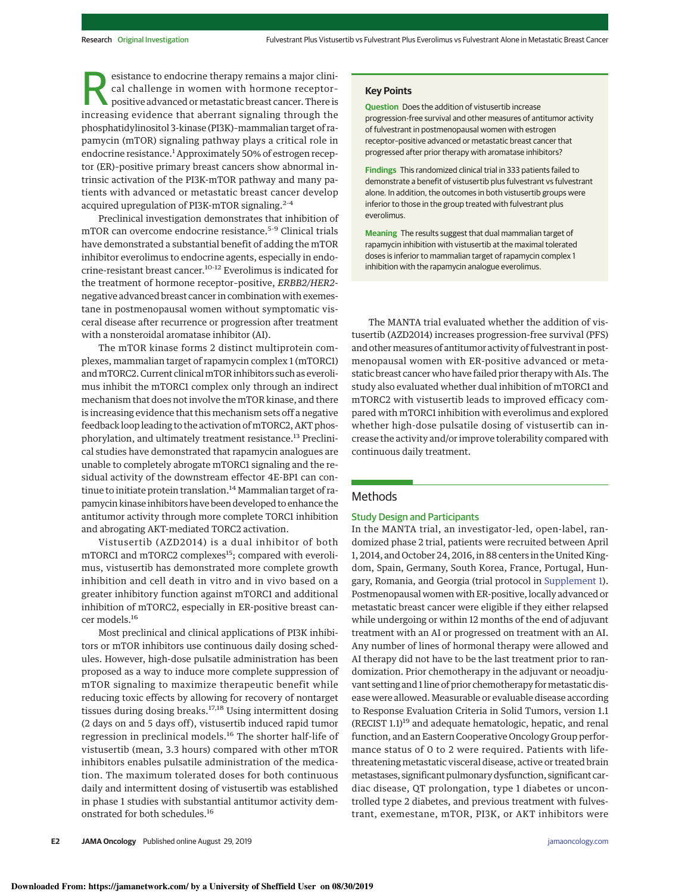Experiment the endocrine therapy remains a major clinical challenge in women with hormone receptor-<br>positive advanced or metastatic breast cancer. There is<br>increasing evidence that aberrant signaling through the esistance to endocrine therapy remains a major clinical challenge in women with hormone receptor– positive advanced or metastatic breast cancer. There is phosphatidylinositol 3-kinase (PI3K)–mammalian target of rapamycin (mTOR) signaling pathway plays a critical role in endocrine resistance.<sup>1</sup> Approximately 50% of estrogen receptor (ER)–positive primary breast cancers show abnormal intrinsic activation of the PI3K-mTOR pathway and many patients with advanced or metastatic breast cancer develop acquired upregulation of PI3K-mTOR signaling.2-4

Preclinical investigation demonstrates that inhibition of mTOR can overcome endocrine resistance.<sup>5-9</sup> Clinical trials have demonstrated a substantial benefit of adding the mTOR inhibitor everolimus to endocrine agents, especially in endocrine-resistant breast cancer.10-12 Everolimus is indicated for the treatment of hormone receptor–positive, ERBB2/HER2 negative advanced breast cancer in combination with exemestane in postmenopausal women without symptomatic visceral disease after recurrence or progression after treatment with a nonsteroidal aromatase inhibitor (AI).

The mTOR kinase forms 2 distinct multiprotein complexes, mammalian target of rapamycin complex 1 (mTORC1) and mTORC2. Current clinical mTOR inhibitors such as everolimus inhibit the mTORC1 complex only through an indirect mechanism that does not involve the mTOR kinase, and there is increasing evidence that this mechanism sets off a negative feedback loop leading to the activation of mTORC2, AKT phosphorylation, and ultimately treatment resistance.<sup>13</sup> Preclinical studies have demonstrated that rapamycin analogues are unable to completely abrogate mTORC1 signaling and the residual activity of the downstream effector 4E-BP1 can continue to initiate protein translation.<sup>14</sup> Mammalian target of rapamycin kinase inhibitors have been developed to enhance the antitumor activity through more complete TORC1 inhibition and abrogating AKT-mediated TORC2 activation.

Vistusertib (AZD2014) is a dual inhibitor of both mTORC1 and mTORC2 complexes<sup>15</sup>; compared with everolimus, vistusertib has demonstrated more complete growth inhibition and cell death in vitro and in vivo based on a greater inhibitory function against mTORC1 and additional inhibition of mTORC2, especially in ER-positive breast cancer models.<sup>16</sup>

Most preclinical and clinical applications of PI3K inhibitors or mTOR inhibitors use continuous daily dosing schedules. However, high-dose pulsatile administration has been proposed as a way to induce more complete suppression of mTOR signaling to maximize therapeutic benefit while reducing toxic effects by allowing for recovery of nontarget tissues during dosing breaks.<sup>17,18</sup> Using intermittent dosing (2 days on and 5 days off), vistusertib induced rapid tumor regression in preclinical models.<sup>16</sup> The shorter half-life of vistusertib (mean, 3.3 hours) compared with other mTOR inhibitors enables pulsatile administration of the medication. The maximum tolerated doses for both continuous daily and intermittent dosing of vistusertib was established in phase 1 studies with substantial antitumor activity demonstrated for both schedules.<sup>16</sup>

### **Key Points**

**Question** Does the addition of vistusertib increase progression-free survival and other measures of antitumor activity of fulvestrant in postmenopausal women with estrogen receptor–positive advanced or metastatic breast cancer that progressed after prior therapy with aromatase inhibitors?

**Findings** This randomized clinical trial in 333 patients failed to demonstrate a benefit of vistusertib plus fulvestrant vs fulvestrant alone. In addition, the outcomes in both vistusertib groups were inferior to those in the group treated with fulvestrant plus everolimus.

**Meaning** The results suggest that dual mammalian target of rapamycin inhibition with vistusertib at the maximal tolerated doses is inferior to mammalian target of rapamycin complex 1 inhibition with the rapamycin analogue everolimus.

The MANTA trial evaluated whether the addition of vistusertib (AZD2014) increases progression-free survival (PFS) and other measures of antitumor activity of fulvestrant in postmenopausal women with ER-positive advanced or metastatic breast cancer who have failed prior therapy with AIs. The study also evaluated whether dual inhibition of mTORC1 and mTORC2 with vistusertib leads to improved efficacy compared with mTORC1 inhibition with everolimus and explored whether high-dose pulsatile dosing of vistusertib can increase the activity and/or improve tolerability compared with continuous daily treatment.

# Methods

## Study Design and Participants

In the MANTA trial, an investigator-led, open-label, randomized phase 2 trial, patients were recruited between April 1, 2014, and October 24, 2016, in 88 centers in the United Kingdom, Spain, Germany, South Korea, France, Portugal, Hungary, Romania, and Georgia (trial protocol in Supplement 1). Postmenopausal women with ER-positive, locally advanced or metastatic breast cancer were eligible if they either relapsed while undergoing or within 12 months of the end of adjuvant treatment with an AI or progressed on treatment with an AI. Any number of lines of hormonal therapy were allowed and AI therapy did not have to be the last treatment prior to randomization. Prior chemotherapy in the adjuvant or neoadjuvant setting and 1 line of prior chemotherapy for metastatic disease were allowed. Measurable or evaluable disease according to Response Evaluation Criteria in Solid Tumors, version 1.1 (RECIST 1.1)<sup>19</sup> and adequate hematologic, hepatic, and renal function, and an Eastern Cooperative Oncology Group performance status of 0 to 2 were required. Patients with lifethreatening metastatic visceral disease, active or treated brain metastases, significant pulmonary dysfunction, significant cardiac disease, QT prolongation, type 1 diabetes or uncontrolled type 2 diabetes, and previous treatment with fulvestrant, exemestane, mTOR, PI3K, or AKT inhibitors were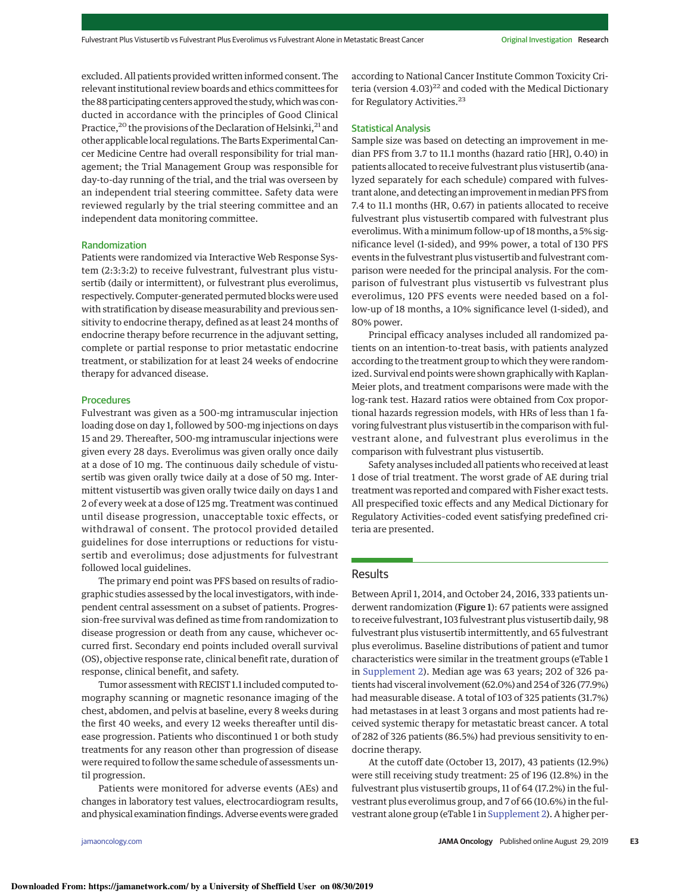excluded. All patients provided written informed consent. The relevant institutional review boards and ethics committees for the 88 participating centers approved the study, which was conducted in accordance with the principles of Good Clinical Practice,<sup>20</sup> the provisions of the Declaration of Helsinki,<sup>21</sup> and other applicable local regulations. The Barts Experimental Cancer Medicine Centre had overall responsibility for trial management; the Trial Management Group was responsible for day-to-day running of the trial, and the trial was overseen by an independent trial steering committee. Safety data were reviewed regularly by the trial steering committee and an independent data monitoring committee.

#### Randomization

Patients were randomized via Interactive Web Response System (2:3:3:2) to receive fulvestrant, fulvestrant plus vistusertib (daily or intermittent), or fulvestrant plus everolimus, respectively. Computer-generated permuted blocks were used with stratification by disease measurability and previous sensitivity to endocrine therapy, defined as at least 24 months of endocrine therapy before recurrence in the adjuvant setting, complete or partial response to prior metastatic endocrine treatment, or stabilization for at least 24 weeks of endocrine therapy for advanced disease.

### **Procedures**

Fulvestrant was given as a 500-mg intramuscular injection loading dose on day 1, followed by 500-mg injections on days 15 and 29. Thereafter, 500-mg intramuscular injections were given every 28 days. Everolimus was given orally once daily at a dose of 10 mg. The continuous daily schedule of vistusertib was given orally twice daily at a dose of 50 mg. Intermittent vistusertib was given orally twice daily on days 1 and 2 of every week at a dose of 125 mg. Treatment was continued until disease progression, unacceptable toxic effects, or withdrawal of consent. The protocol provided detailed guidelines for dose interruptions or reductions for vistusertib and everolimus; dose adjustments for fulvestrant followed local guidelines.

The primary end point was PFS based on results of radiographic studies assessed by the local investigators, with independent central assessment on a subset of patients. Progression-free survival was defined as time from randomization to disease progression or death from any cause, whichever occurred first. Secondary end points included overall survival (OS), objective response rate, clinical benefit rate, duration of response, clinical benefit, and safety.

Tumor assessment with RECIST 1.1 included computed tomography scanning or magnetic resonance imaging of the chest, abdomen, and pelvis at baseline, every 8 weeks during the first 40 weeks, and every 12 weeks thereafter until disease progression. Patients who discontinued 1 or both study treatments for any reason other than progression of disease were required to follow the same schedule of assessments until progression.

Patients were monitored for adverse events (AEs) and changes in laboratory test values, electrocardiogram results, and physical examination findings. Adverse events were graded

according to National Cancer Institute Common Toxicity Criteria (version  $4.03$ )<sup>22</sup> and coded with the Medical Dictionary for Regulatory Activities.<sup>23</sup>

# Statistical Analysis

Sample size was based on detecting an improvement in median PFS from 3.7 to 11.1 months (hazard ratio [HR], 0.40) in patients allocated to receive fulvestrant plus vistusertib (analyzed separately for each schedule) compared with fulvestrant alone, and detecting an improvement inmedian PFS from 7.4 to 11.1 months (HR, 0.67) in patients allocated to receive fulvestrant plus vistusertib compared with fulvestrant plus everolimus.With aminimum follow-up of 18months, a 5% significance level (1-sided), and 99% power, a total of 130 PFS events in the fulvestrant plus vistusertib and fulvestrant comparison were needed for the principal analysis. For the comparison of fulvestrant plus vistusertib vs fulvestrant plus everolimus, 120 PFS events were needed based on a follow-up of 18 months, a 10% significance level (1-sided), and 80% power.

Principal efficacy analyses included all randomized patients on an intention-to-treat basis, with patients analyzed according to the treatment group to which they were randomized. Survival end points were shown graphically with Kaplan-Meier plots, and treatment comparisons were made with the log-rank test. Hazard ratios were obtained from Cox proportional hazards regression models, with HRs of less than 1 favoring fulvestrant plus vistusertib in the comparison with fulvestrant alone, and fulvestrant plus everolimus in the comparison with fulvestrant plus vistusertib.

Safety analyses included all patients who received at least 1 dose of trial treatment. The worst grade of AE during trial treatment was reported and compared with Fisher exact tests. All prespecified toxic effects and any Medical Dictionary for Regulatory Activities–coded event satisfying predefined criteria are presented.

# Results

Between April 1, 2014, and October 24, 2016, 333 patients underwent randomization (Figure 1): 67 patients were assigned to receive fulvestrant, 103 fulvestrant plus vistusertib daily, 98 fulvestrant plus vistusertib intermittently, and 65 fulvestrant plus everolimus. Baseline distributions of patient and tumor characteristics were similar in the treatment groups (eTable 1 in Supplement 2). Median age was 63 years; 202 of 326 patients had visceral involvement (62.0%) and 254 of 326 (77.9%) had measurable disease. A total of 103 of 325 patients (31.7%) had metastases in at least 3 organs and most patients had received systemic therapy for metastatic breast cancer. A total of 282 of 326 patients (86.5%) had previous sensitivity to endocrine therapy.

At the cutoff date (October 13, 2017), 43 patients (12.9%) were still receiving study treatment: 25 of 196 (12.8%) in the fulvestrant plus vistusertib groups, 11 of 64 (17.2%) in the fulvestrant plus everolimus group, and 7 of 66 (10.6%) in the fulvestrant alone group (eTable 1 in Supplement 2). A higher per-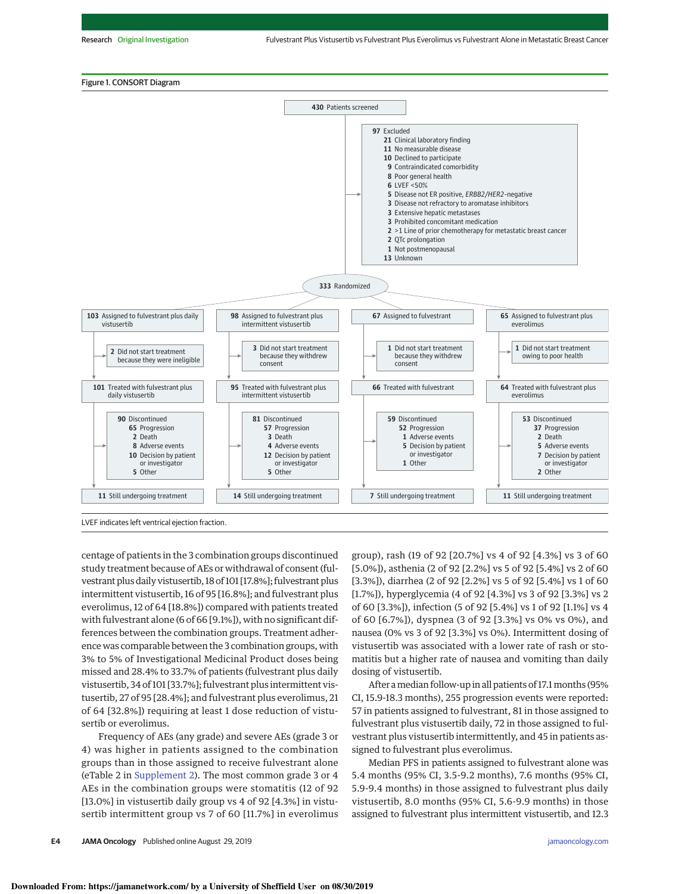#### Figure 1. CONSORT Diagram



centage of patients in the 3 combination groups discontinued study treatment because of AEs or withdrawal of consent (fulvestrant plus daily vistusertib, 18 of 101 [17.8%]; fulvestrant plus intermittent vistusertib, 16 of 95 [16.8%]; and fulvestrant plus everolimus, 12 of 64 [18.8%]) compared with patients treated with fulvestrant alone (6 of 66 [9.1%]), with no significant differences between the combination groups. Treatment adherence was comparable between the 3 combination groups, with 3% to 5% of Investigational Medicinal Product doses being missed and 28.4% to 33.7% of patients (fulvestrant plus daily vistusertib, 34 of 101 [33.7%]; fulvestrant plus intermittent vistusertib, 27 of 95 [28.4%]; and fulvestrant plus everolimus, 21 of 64 [32.8%]) requiring at least 1 dose reduction of vistusertib or everolimus.

Frequency of AEs (any grade) and severe AEs (grade 3 or 4) was higher in patients assigned to the combination groups than in those assigned to receive fulvestrant alone (eTable 2 in Supplement 2). The most common grade 3 or 4 AEs in the combination groups were stomatitis (12 of 92 [13.0%] in vistusertib daily group vs 4 of 92 [4.3%] in vistusertib intermittent group vs 7 of 60 [11.7%] in everolimus

group), rash (19 of 92 [20.7%] vs 4 of 92 [4.3%] vs 3 of 60 [5.0%]), asthenia (2 of 92 [2.2%] vs 5 of 92 [5.4%] vs 2 of 60 [3.3%]), diarrhea (2 of 92 [2.2%] vs 5 of 92 [5.4%] vs 1 of 60 [1.7%]), hyperglycemia (4 of 92 [4.3%] vs 3 of 92 [3.3%] vs 2 of 60 [3.3%]), infection (5 of 92 [5.4%] vs 1 of 92 [1.1%] vs 4 of 60 [6.7%]), dyspnea (3 of 92 [3.3%] vs 0% vs 0%), and nausea (0% vs 3 of 92 [3.3%] vs 0%). Intermittent dosing of vistusertib was associated with a lower rate of rash or stomatitis but a higher rate of nausea and vomiting than daily dosing of vistusertib.

After amedian follow-up in all patients of 17.1months (95% CI, 15.9-18.3 months), 255 progression events were reported: 57 in patients assigned to fulvestrant, 81 in those assigned to fulvestrant plus vistusertib daily, 72 in those assigned to fulvestrant plus vistusertib intermittently, and 45 in patients assigned to fulvestrant plus everolimus.

Median PFS in patients assigned to fulvestrant alone was 5.4 months (95% CI, 3.5-9.2 months), 7.6 months (95% CI, 5.9-9.4 months) in those assigned to fulvestrant plus daily vistusertib, 8.0 months (95% CI, 5.6-9.9 months) in those assigned to fulvestrant plus intermittent vistusertib, and 12.3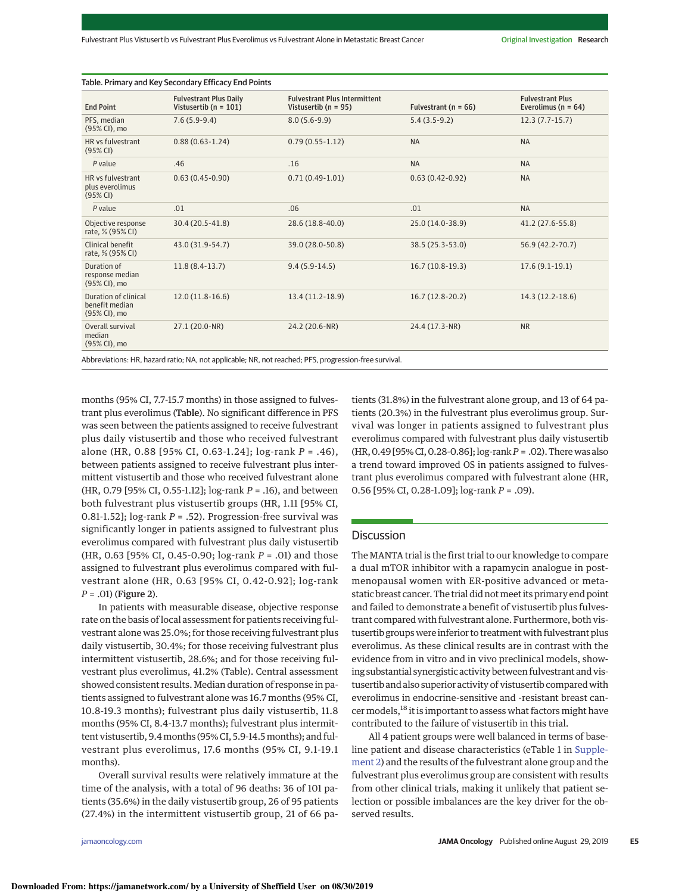| <b>End Point</b>                                       | <b>Fulvestrant Plus Daily</b><br>Vistusertib ( $n = 101$ ) | <b>Fulvestrant Plus Intermittent</b><br>Vistusertib ( $n = 95$ ) | Fulvestrant ( $n = 66$ ) | <b>Fulvestrant Plus</b><br>Everolimus ( $n = 64$ ) |
|--------------------------------------------------------|------------------------------------------------------------|------------------------------------------------------------------|--------------------------|----------------------------------------------------|
| PFS, median<br>(95% CI), mo                            | $7.6(5.9-9.4)$                                             | $8.0(5.6-9.9)$                                                   | $5.4(3.5-9.2)$           | $12.3(7.7-15.7)$                                   |
| HR vs fulvestrant<br>(95% CI)                          | $0.88(0.63 - 1.24)$                                        | $0.79(0.55-1.12)$                                                | <b>NA</b>                | <b>NA</b>                                          |
| P value                                                | .46                                                        | .16                                                              | <b>NA</b>                | <b>NA</b>                                          |
| HR vs fulvestrant<br>plus everolimus<br>(95% CI)       | $0.63(0.45-0.90)$                                          | $0.71(0.49-1.01)$                                                | $0.63(0.42-0.92)$        | <b>NA</b>                                          |
| P value                                                | .01                                                        | .06                                                              | .01                      | <b>NA</b>                                          |
| Objective response<br>rate, % (95% CI)                 | 30.4 (20.5-41.8)                                           | 28.6 (18.8-40.0)                                                 | 25.0 (14.0-38.9)         | 41.2 (27.6-55.8)                                   |
| Clinical benefit<br>rate, % (95% CI)                   | 43.0 (31.9-54.7)                                           | 39.0 (28.0-50.8)                                                 | 38.5 (25.3-53.0)         | 56.9 (42.2-70.7)                                   |
| Duration of<br>response median<br>(95% CI), mo         | $11.8(8.4-13.7)$                                           | $9.4(5.9-14.5)$                                                  | $16.7(10.8-19.3)$        | $17.6(9.1-19.1)$                                   |
| Duration of clinical<br>benefit median<br>(95% CI), mo | $12.0(11.8-16.6)$                                          | 13.4 (11.2-18.9)                                                 | $16.7(12.8-20.2)$        | 14.3 (12.2-18.6)                                   |
| Overall survival<br>median<br>(95% CI), mo             | 27.1 (20.0-NR)                                             | 24.2 (20.6-NR)                                                   | 24.4 (17.3-NR)           | <b>NR</b>                                          |

months (95% CI, 7.7-15.7 months) in those assigned to fulvestrant plus everolimus (Table). No significant difference in PFS was seen between the patients assigned to receive fulvestrant plus daily vistusertib and those who received fulvestrant alone (HR, 0.88 [95% CI, 0.63-1.24]; log-rank  $P = .46$ ), between patients assigned to receive fulvestrant plus intermittent vistusertib and those who received fulvestrant alone (HR, 0.79 [95% CI, 0.55-1.12]; log-rank  $P = .16$ ), and between both fulvestrant plus vistusertib groups (HR, 1.11 [95% CI, 0.81-1.52];  $log$ -rank  $P = .52$ ). Progression-free survival was significantly longer in patients assigned to fulvestrant plus everolimus compared with fulvestrant plus daily vistusertib (HR, 0.63 [95% CI, 0.45-0.90; log-rank  $P = .01$ ) and those assigned to fulvestrant plus everolimus compared with fulvestrant alone (HR, 0.63 [95% CI, 0.42-0.92]; log-rank  $P = .01$ ) (Figure 2).

In patients with measurable disease, objective response rate on the basis of local assessment for patients receiving fulvestrant alone was 25.0%; for those receiving fulvestrant plus daily vistusertib, 30.4%; for those receiving fulvestrant plus intermittent vistusertib, 28.6%; and for those receiving fulvestrant plus everolimus, 41.2% (Table). Central assessment showed consistent results. Median duration of response in patients assigned to fulvestrant alone was 16.7 months (95% CI, 10.8-19.3 months); fulvestrant plus daily vistusertib, 11.8 months (95% CI, 8.4-13.7 months); fulvestrant plus intermittent vistusertib, 9.4months (95% CI, 5.9-14.5months); and fulvestrant plus everolimus, 17.6 months (95% CI, 9.1-19.1 months).

Overall survival results were relatively immature at the time of the analysis, with a total of 96 deaths: 36 of 101 patients (35.6%) in the daily vistusertib group, 26 of 95 patients (27.4%) in the intermittent vistusertib group, 21 of 66 pa-

tients (31.8%) in the fulvestrant alone group, and 13 of 64 patients (20.3%) in the fulvestrant plus everolimus group. Survival was longer in patients assigned to fulvestrant plus everolimus compared with fulvestrant plus daily vistusertib (HR, 0.49 [95% CI, 0.28-0.86];  $\log$ -rank  $P = 0.02$ ). There was also a trend toward improved OS in patients assigned to fulvestrant plus everolimus compared with fulvestrant alone (HR, 0.56 [95% CI, 0.28-1.09];  $log-rank P = .09$ ).

## **Discussion**

The MANTA trial is the first trial to our knowledge to compare a dual mTOR inhibitor with a rapamycin analogue in postmenopausal women with ER-positive advanced or metastatic breast cancer. The trial did notmeet its primary end point and failed to demonstrate a benefit of vistusertib plus fulvestrant compared with fulvestrant alone. Furthermore, both vistusertib groups were inferior to treatment with fulvestrant plus everolimus. As these clinical results are in contrast with the evidence from in vitro and in vivo preclinical models, showing substantial synergistic activity between fulvestrant and vistusertib and also superior activity of vistusertib compared with everolimus in endocrine-sensitive and -resistant breast cancer models,<sup>18</sup> it is important to assess what factors might have contributed to the failure of vistusertib in this trial.

All 4 patient groups were well balanced in terms of baseline patient and disease characteristics (eTable 1 in Supplement 2) and the results of the fulvestrant alone group and the fulvestrant plus everolimus group are consistent with results from other clinical trials, making it unlikely that patient selection or possible imbalances are the key driver for the observed results.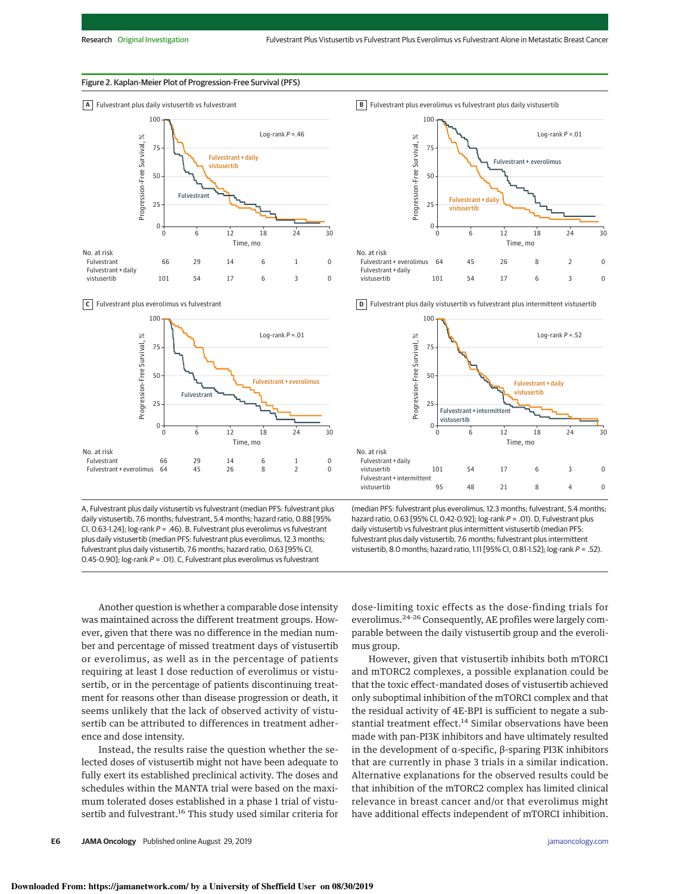# Figure 2. Kaplan-Meier Plot of Progression-Free Survival (PFS)



**C** Fulvestrant plus everolimus vs fulvestrant



A, Fulvestrant plus daily vistusertib vs fulvestrant (median PFS: fulvestrant plus daily vistusertib, 7.6 months; fulvestrant, 5.4 months; hazard ratio, 0.88 [95% CI, 0.63-1.24];  $log-rank P = .46$ ). B, Fulvestrant plus everolimus vs fulvestrant plus daily vistusertib (median PFS: fulvestrant plus everolimus, 12.3 months; fulvestrant plus daily vistusertib, 7.6 months; hazard ratio, 0.63 [95% CI, 0.45-0.90]; log-rank P = .01). C, Fulvestrant plus everolimus vs fulvestrant

**B** Fulvestrant plus everolimus vs fulvestrant plus daily vistusertib



**D** Fulvestrant plus daily vistusertib vs fulvestrant plus intermittent vistusertib



(median PFS: fulvestrant plus everolimus, 12.3 months; fulvestrant, 5.4 months; hazard ratio, 0.63 [95% CI, 0.42-0.92];  $log$ -rank  $P = .01$ ). D, Fulvestrant plus daily vistusertib vs fulvestrant plus intermittent vistusertib (median PFS: fulvestrant plus daily vistusertib, 7.6 months; fulvestrant plus intermittent vistusertib, 8.0 months; hazard ratio, 1.11 [95% CI, 0.81-1.52]; log-rank P = .52).

Another question is whether a comparable dose intensity was maintained across the different treatment groups. However, given that there was no difference in the median number and percentage of missed treatment days of vistusertib or everolimus, as well as in the percentage of patients requiring at least 1 dose reduction of everolimus or vistusertib, or in the percentage of patients discontinuing treatment for reasons other than disease progression or death, it seems unlikely that the lack of observed activity of vistusertib can be attributed to differences in treatment adherence and dose intensity.

Instead, the results raise the question whether the selected doses of vistusertib might not have been adequate to fully exert its established preclinical activity. The doses and schedules within the MANTA trial were based on the maximum tolerated doses established in a phase 1 trial of vistusertib and fulvestrant.<sup>16</sup> This study used similar criteria for dose-limiting toxic effects as the dose-finding trials for everolimus.24-26 Consequently, AE profiles were largely comparable between the daily vistusertib group and the everolimus group.

However, given that vistusertib inhibits both mTORC1 and mTORC2 complexes, a possible explanation could be that the toxic effect–mandated doses of vistusertib achieved only suboptimal inhibition of the mTORC1 complex and that the residual activity of 4E-BP1 is sufficient to negate a substantial treatment effect.<sup>14</sup> Similar observations have been made with pan-PI3K inhibitors and have ultimately resulted in the development of α-specific, β-sparing PI3K inhibitors that are currently in phase 3 trials in a similar indication. Alternative explanations for the observed results could be that inhibition of the mTORC2 complex has limited clinical relevance in breast cancer and/or that everolimus might have additional effects independent of mTORC1 inhibition.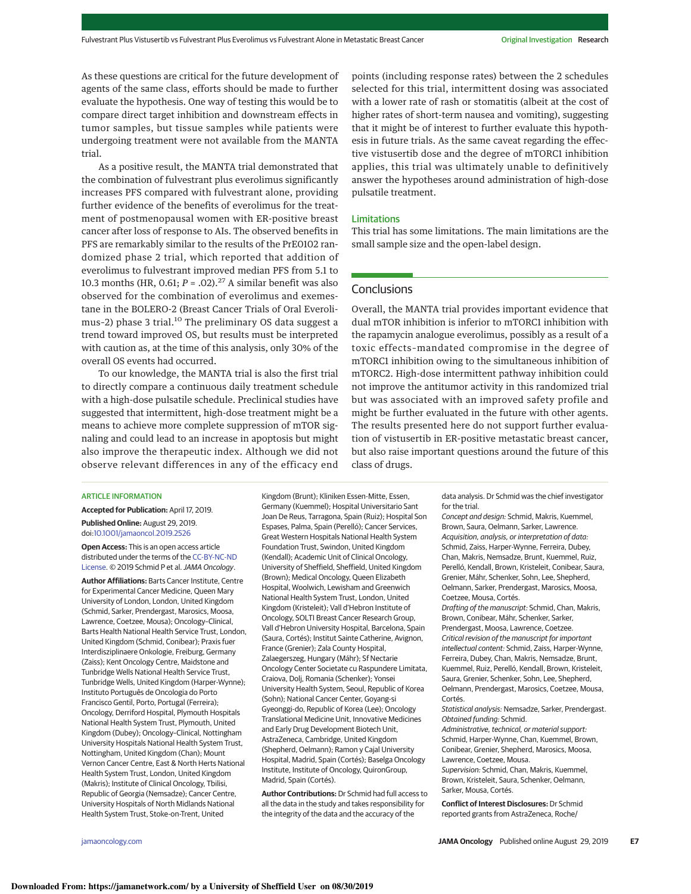As these questions are critical for the future development of agents of the same class, efforts should be made to further evaluate the hypothesis. One way of testing this would be to compare direct target inhibition and downstream effects in tumor samples, but tissue samples while patients were undergoing treatment were not available from the MANTA trial.

As a positive result, the MANTA trial demonstrated that the combination of fulvestrant plus everolimus significantly increases PFS compared with fulvestrant alone, providing further evidence of the benefits of everolimus for the treatment of postmenopausal women with ER-positive breast cancer after loss of response to AIs. The observed benefits in PFS are remarkably similar to the results of the PrE0102 randomized phase 2 trial, which reported that addition of everolimus to fulvestrant improved median PFS from 5.1 to 10.3 months (HR, 0.61;  $P = .02$ ).<sup>27</sup> A similar benefit was also observed for the combination of everolimus and exemestane in the BOLERO-2 (Breast Cancer Trials of Oral Everolimus-2) phase 3 trial.<sup>10</sup> The preliminary OS data suggest a trend toward improved OS, but results must be interpreted with caution as, at the time of this analysis, only 30% of the overall OS events had occurred.

To our knowledge, the MANTA trial is also the first trial to directly compare a continuous daily treatment schedule with a high-dose pulsatile schedule. Preclinical studies have suggested that intermittent, high-dose treatment might be a means to achieve more complete suppression of mTOR signaling and could lead to an increase in apoptosis but might also improve the therapeutic index. Although we did not observe relevant differences in any of the efficacy end

#### ARTICLE INFORMATION

**Accepted for Publication:** April 17, 2019. **Published Online:** August 29, 2019. doi:10.1001/jamaoncol.2019.2526

**Open Access:** This is an open access article distributed under the terms of the CC-BY-NC-ND License. © 2019 Schmid P et al.JAMA Oncology.

**Author Affiliations:** Barts Cancer Institute, Centre for Experimental Cancer Medicine, Queen Mary University of London, London, United Kingdom (Schmid, Sarker, Prendergast, Marosics, Moosa, Lawrence, Coetzee, Mousa); Oncology–Clinical, Barts Health National Health Service Trust, London, United Kingdom (Schmid, Conibear); Praxis fuer Interdisziplinaere Onkologie, Freiburg, Germany (Zaiss); Kent Oncology Centre, Maidstone and Tunbridge Wells National Health Service Trust, Tunbridge Wells, United Kingdom (Harper-Wynne); Instituto Português de Oncologia do Porto Francisco Gentil, Porto, Portugal (Ferreira); Oncology, Derriford Hospital, Plymouth Hospitals National Health System Trust, Plymouth, United Kingdom (Dubey); Oncology–Clinical, Nottingham University Hospitals National Health System Trust, Nottingham, United Kingdom (Chan); Mount Vernon Cancer Centre, East & North Herts National Health System Trust, London, United Kingdom (Makris); Institute of Clinical Oncology, Tbilisi, Republic of Georgia (Nemsadze); Cancer Centre, University Hospitals of North Midlands National Health System Trust, Stoke-on-Trent, United

Kingdom (Brunt); Kliniken Essen-Mitte, Essen, Germany (Kuemmel); Hospital Universitario Sant Joan De Reus, Tarragona, Spain (Ruiz); Hospital Son Espases, Palma, Spain (Perelló); Cancer Services, Great Western Hospitals National Health System Foundation Trust, Swindon, United Kingdom (Kendall); Academic Unit of Clinical Oncology, University of Sheffield, Sheffield, United Kingdom (Brown); Medical Oncology, Queen Elizabeth Hospital, Woolwich, Lewisham and Greenwich National Health System Trust, London, United Kingdom (Kristeleit); Vall d'Hebron Institute of Oncology, SOLTI Breast Cancer Research Group, Vall d'Hebron University Hospital, Barcelona, Spain (Saura, Cortés); Institut Sainte Catherine, Avignon, France (Grenier); Zala County Hospital, Zalaegerszeg, Hungary (Máhr); Sf Nectarie Oncology Center Societate cu Raspundere Limitata, Craiova, Dolj, Romania (Schenker); Yonsei University Health System, Seoul, Republic of Korea (Sohn); National Cancer Center, Goyang-si Gyeonggi-do, Republic of Korea (Lee); Oncology Translational Medicine Unit, Innovative Medicines and Early Drug Development Biotech Unit, AstraZeneca, Cambridge, United Kingdom (Shepherd, Oelmann); Ramon y Cajal University Hospital, Madrid, Spain (Cortés); Baselga Oncology Institute, Institute of Oncology, QuironGroup, Madrid, Spain (Cortés).

**Author Contributions:** Dr Schmid had full access to all the data in the study and takes responsibility for the integrity of the data and the accuracy of the

points (including response rates) between the 2 schedules selected for this trial, intermittent dosing was associated with a lower rate of rash or stomatitis (albeit at the cost of higher rates of short-term nausea and vomiting), suggesting that it might be of interest to further evaluate this hypothesis in future trials. As the same caveat regarding the effective vistusertib dose and the degree of mTORC1 inhibition applies, this trial was ultimately unable to definitively answer the hypotheses around administration of high-dose pulsatile treatment.

#### Limitations

This trial has some limitations. The main limitations are the small sample size and the open-label design.

# Conclusions

Overall, the MANTA trial provides important evidence that dual mTOR inhibition is inferior to mTORC1 inhibition with the rapamycin analogue everolimus, possibly as a result of a toxic effects–mandated compromise in the degree of mTORC1 inhibition owing to the simultaneous inhibition of mTORC2. High-dose intermittent pathway inhibition could not improve the antitumor activity in this randomized trial but was associated with an improved safety profile and might be further evaluated in the future with other agents. The results presented here do not support further evaluation of vistusertib in ER-positive metastatic breast cancer, but also raise important questions around the future of this class of drugs.

> data analysis. Dr Schmid was the chief investigator for the trial.

> Concept and design: Schmid, Makris, Kuemmel, Brown, Saura, Oelmann, Sarker, Lawrence. Acquisition, analysis, or interpretation of data: Schmid, Zaiss, Harper-Wynne, Ferreira, Dubey, Chan, Makris, Nemsadze, Brunt, Kuemmel, Ruiz, Perelló, Kendall, Brown, Kristeleit, Conibear, Saura, Grenier, Máhr, Schenker, Sohn, Lee, Shepherd, Oelmann, Sarker, Prendergast, Marosics, Moosa, Coetzee, Mousa, Cortés.

> Drafting of the manuscript: Schmid, Chan, Makris, Brown, Conibear, Máhr, Schenker, Sarker, Prendergast, Moosa, Lawrence, Coetzee. Critical revision of the manuscript for important intellectual content: Schmid, Zaiss, Harper-Wynne, Ferreira, Dubey, Chan, Makris, Nemsadze, Brunt, Kuemmel, Ruiz, Perelló, Kendall, Brown, Kristeleit, Saura, Grenier, Schenker, Sohn, Lee, Shepherd, Oelmann, Prendergast, Marosics, Coetzee, Mousa, Cortés.

Statistical analysis: Nemsadze, Sarker, Prendergast. Obtained funding: Schmid.

Administrative, technical, or material support: Schmid, Harper-Wynne, Chan, Kuemmel, Brown, Conibear, Grenier, Shepherd, Marosics, Moosa, Lawrence, Coetzee, Mousa.

Supervision: Schmid, Chan, Makris, Kuemmel, Brown, Kristeleit, Saura, Schenker, Oelmann, Sarker, Mousa, Cortés.

**Conflict of Interest Disclosures:** Dr Schmid reported grants from AstraZeneca, Roche/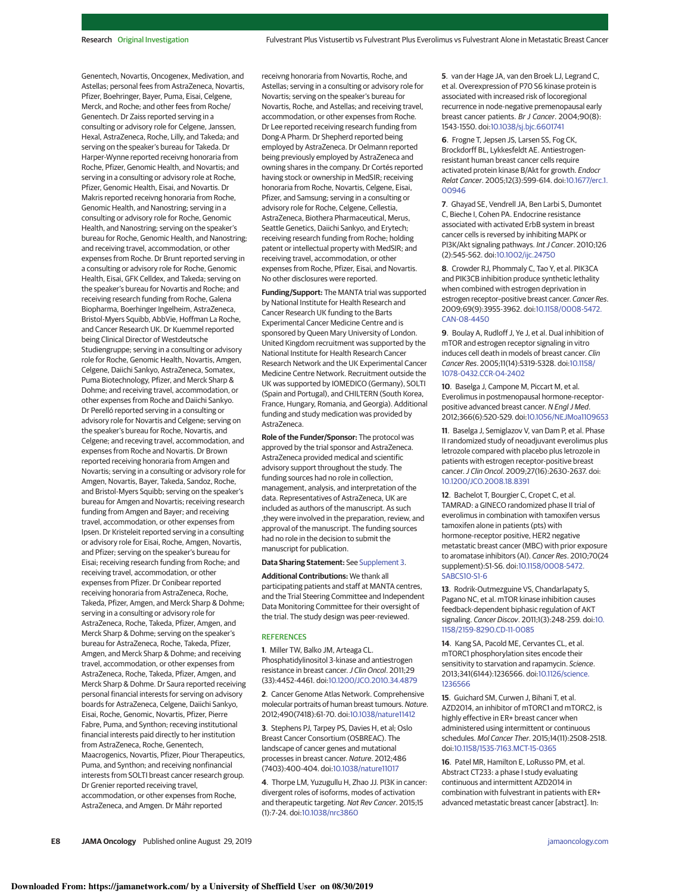Genentech, Novartis, Oncogenex, Medivation, and Astellas; personal fees from AstraZeneca, Novartis, Pfizer, Boehringer, Bayer, Puma, Eisai, Celgene, Merck, and Roche; and other fees from Roche/ Genentech. Dr Zaiss reported serving in a consulting or advisory role for Celgene, Janssen, Hexal, AstraZeneca, Roche, Lilly, and Takeda; and serving on the speaker's bureau for Takeda. Dr Harper-Wynne reported receivng honoraria from Roche, Pfizer, Genomic Health, and Novartis; and serving in a consulting or advisory role at Roche, Pfizer, Genomic Health, Eisai, and Novartis. Dr Makris reported receivng honoraria from Roche, Genomic Health, and Nanostring; serving in a consulting or advisory role for Roche, Genomic Health, and Nanostring; serving on the speaker's bureau for Roche, Genomic Health, and Nanostring; and receiving travel, accommodation, or other expenses from Roche. Dr Brunt reported serving in a consulting or advisory role for Roche, Genomic Health, Eisai, GFK Celldex, and Takeda; serving on the speaker's bureau for Novartis and Roche; and receiving research funding from Roche, Galena Biopharma, Boerhinger Ingelheim, AstraZeneca, Bristol-Myers Squibb, AbbVie, Hoffman La Roche, and Cancer Research UK. Dr Kuemmel reported being Clinical Director of Westdeutsche Studiengruppe; serving in a consulting or advisory role for Roche, Genomic Health, Novartis, Amgen, Celgene, Daiichi Sankyo, AstraZeneca, Somatex, Puma Biotechnology, Pfizer, and Merck Sharp & Dohme; and receiving travel, accommodation, or other expenses from Roche and Daiichi Sankyo. Dr Perelló reported serving in a consulting or advisory role for Novartis and Celgene; serving on the speaker's bureau for Roche, Novartis, and Celgene; and receving travel, accommodation, and expenses from Roche and Novartis. Dr Brown reported receiving honoraria from Amgen and Novartis; serving in a consulting or advisory role for Amgen, Novartis, Bayer, Takeda, Sandoz, Roche, and Bristol-Myers Squibb; serving on the speaker's bureau for Amgen and Novartis; receiving research funding from Amgen and Bayer; and receiving travel, accommodation, or other expenses from Ipsen. Dr Kristeleit reported serving in a consulting or advisory role for Eisai, Roche, Amgen, Novartis, and Pfizer; serving on the speaker's bureau for Eisai; receiving research funding from Roche; and receiving travel, accommodation, or other expenses from Pfizer. Dr Conibear reported receiving honoraria from AstraZeneca, Roche, Takeda, Pfizer, Amgen, and Merck Sharp & Dohme; serving in a consulting or advisory role for AstraZeneca, Roche, Takeda, Pfizer, Amgen, and Merck Sharp & Dohme; serving on the speaker's bureau for AstraZeneca, Roche, Takeda, Pfizer, Amgen, and Merck Sharp & Dohme; and receiving travel, accommodation, or other expenses from AstraZeneca, Roche, Takeda, Pfizer, Amgen, and Merck Sharp & Dohme. Dr Saura reported receiving personal financial interests for serving on advisory boards for AstraZeneca, Celgene, Daiichi Sankyo, Eisai, Roche, Genomic, Novartis, Pfizer, Pierre Fabre, Puma, and Synthon; receving institutional financial interests paid directly to her institution from AstraZeneca, Roche, Genentech, Maacrogenics, Novartis, Pfizer, Piour Therapeutics, Puma, and Synthon; and receiving nonfinancial interests from SOLTI breast cancer research group. Dr Grenier reported receiving travel, accommodation, or other expenses from Roche, AstraZeneca, and Amgen. Dr Máhr reported

receivng honoraria from Novartis, Roche, and Astellas; serving in a consulting or advisory role for Novartis; serving on the speaker's bureau for Novartis, Roche, and Astellas; and receiving travel, accommodation, or other expenses from Roche. Dr Lee reported receiving research funding from Dong-A Pharm. Dr Shepherd reported being employed by AstraZeneca. Dr Oelmann reported being previously employed by AstraZeneca and owning shares in the company. Dr Cortés reported having stock or ownership in MedSIR; receiving honoraria from Roche, Novartis, Celgene, Eisai, Pfizer, and Samsung; serving in a consulting or advisory role for Roche, Celgene, Cellestia, AstraZeneca, Biothera Pharmaceutical, Merus, Seattle Genetics, Daiichi Sankyo, and Erytech; receiving research funding from Roche; holding patent or intellectual property with MedSIR; and receiving travel, accommodation, or other expenses from Roche, Pfizer, Eisai, and Novartis. No other disclosures were reported.

**Funding/Support:** The MANTA trial was supported by National Institute for Health Research and Cancer Research UK funding to the Barts Experimental Cancer Medicine Centre and is sponsored by Queen Mary University of London. United Kingdom recruitment was supported by the National Institute for Health Research Cancer Research Network and the UK Experimental Cancer Medicine Centre Network. Recruitment outside the UK was supported by IOMEDICO (Germany), SOLTI (Spain and Portugal), and CHILTERN (South Korea, France, Hungary, Romania, and Georgia). Additional funding and study medication was provided by AstraZeneca.

**Role of the Funder/Sponsor:** The protocol was approved by the trial sponsor and AstraZeneca. AstraZeneca provided medical and scientific advisory support throughout the study. The funding sources had no role in collection, management, analysis, and interpretation of the data. Representatives of AstraZeneca, UK are included as authors of the manuscript. As such ,they were involved in the preparation, review, and approval of the manuscript. The funding sources had no role in the decision to submit the manuscript for publication.

#### **Data Sharing Statement:** See Supplement 3.

**Additional Contributions:** We thank all participating patients and staff at MANTA centres, and the Trial Steering Committee and Independent Data Monitoring Committee for their oversight of the trial. The study design was peer-reviewed.

#### **REFERENCES**

**1**. Miller TW, Balko JM, Arteaga CL. Phosphatidylinositol 3-kinase and antiestrogen resistance in breast cancer.J Clin Oncol. 2011;29 (33):4452-4461. doi:10.1200/JCO.2010.34.4879

**2**. Cancer Genome Atlas Network. Comprehensive molecular portraits of human breast tumours. Nature. 2012;490(7418):61-70. doi:10.1038/nature11412

**3**. Stephens PJ, Tarpey PS, Davies H, et al; Oslo Breast Cancer Consortium (OSBREAC). The landscape of cancer genes and mutational processes in breast cancer. Nature. 2012;486 (7403):400-404. doi:10.1038/nature11017

**4**. Thorpe LM, Yuzugullu H, Zhao JJ. PI3K in cancer: divergent roles of isoforms, modes of activation and therapeutic targeting. Nat Rev Cancer. 2015;15 (1):7-24. doi:10.1038/nrc3860

**5**. van der Hage JA, van den Broek LJ, Legrand C, et al. Overexpression of P70 S6 kinase protein is associated with increased risk of locoregional recurrence in node-negative premenopausal early breast cancer patients. Br J Cancer. 2004;90(8): 1543-1550. doi:10.1038/sj.bjc.6601741

**6**. Frogne T, Jepsen JS, Larsen SS, Fog CK, Brockdorff BL, Lykkesfeldt AE. Antiestrogenresistant human breast cancer cells require activated protein kinase B/Akt for growth. Endocr Relat Cancer. 2005;12(3):599-614. doi:10.1677/erc.1. 00946

**7**. Ghayad SE, Vendrell JA, Ben Larbi S, Dumontet C, Bieche I, Cohen PA. Endocrine resistance associated with activated ErbB system in breast cancer cells is reversed by inhibiting MAPK or PI3K/Akt signaling pathways. Int J Cancer. 2010;126 (2):545-562. doi:10.1002/ijc.24750

**8**. Crowder RJ, Phommaly C, Tao Y, et al. PIK3CA and PIK3CB inhibition produce synthetic lethality when combined with estrogen deprivation in estrogen receptor–positive breast cancer. Cancer Res. 2009;69(9):3955-3962. doi:10.1158/0008-5472. CAN-08-4450

**9**. Boulay A, Rudloff J, Ye J, et al. Dual inhibition of mTOR and estrogen receptor signaling in vitro induces cell death in models of breast cancer. Clin Cancer Res. 2005;11(14):5319-5328. doi:10.1158/ 1078-0432.CCR-04-2402

**10**. Baselga J, Campone M, Piccart M, et al. Everolimus in postmenopausal hormone-receptorpositive advanced breast cancer. N Engl J Med. 2012;366(6):520-529. doi:10.1056/NEJMoa1109653

**11**. Baselga J, Semiglazov V, van Dam P, et al. Phase II randomized study of neoadjuvant everolimus plus letrozole compared with placebo plus letrozole in patients with estrogen receptor-positive breast cancer.J Clin Oncol. 2009;27(16):2630-2637. doi: 10.1200/JCO.2008.18.8391

**12**. Bachelot T, Bourgier C, Cropet C, et al. TAMRAD: a GINECO randomized phase II trial of everolimus in combination with tamoxifen versus tamoxifen alone in patients (pts) with hormone-receptor positive, HER2 negative metastatic breast cancer (MBC) with prior exposure to aromatase inhibitors (AI). Cancer Res. 2010;70(24 supplement):S1-S6. doi:10.1158/0008-5472. SABCS10-S1-6

**13**. Rodrik-Outmezguine VS, Chandarlapaty S, Pagano NC, et al. mTOR kinase inhibition causes feedback-dependent biphasic regulation of AKT signaling. Cancer Discov. 2011;1(3):248-259. doi:10. 1158/2159-8290.CD-11-0085

**14**. Kang SA, Pacold ME, Cervantes CL, et al. mTORC1 phosphorylation sites encode their sensitivity to starvation and rapamycin. Science. 2013;341(6144):1236566. doi:10.1126/science. 1236566

**15**. Guichard SM, Curwen J, Bihani T, et al. AZD2014, an inhibitor of mTORC1 and mTORC2, is highly effective in ER+ breast cancer when administered using intermittent or continuous schedules. Mol Cancer Ther. 2015;14(11):2508-2518. doi:10.1158/1535-7163.MCT-15-0365

**16**. Patel MR, Hamilton E, LoRusso PM, et al. Abstract CT233: a phase I study evaluating continuous and intermittent AZD2014 in combination with fulvestrant in patients with ER+ advanced metastatic breast cancer [abstract]. In: